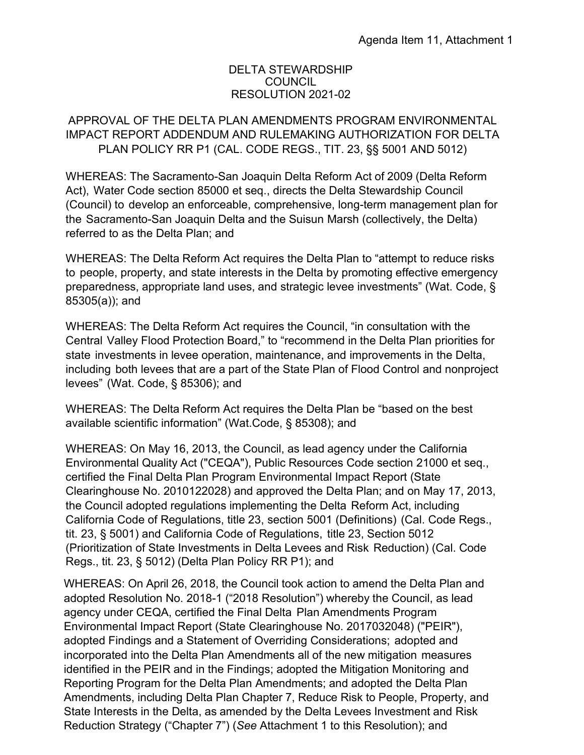## DELTA STEWARDSHIP COUNCIL RESOLUTION 2021-02

## APPROVAL OF THE DELTA PLAN AMENDMENTS PROGRAM ENVIRONMENTAL PLAN POLICY RR P1 (CAL. CODE REGS., TIT. 23, §§ 5001 AND 5012) IMPACT REPORT ADDENDUM AND RULEMAKING AUTHORIZATION FOR DELTA

 WHEREAS: The Sacramento-San Joaquin Delta Reform Act of 2009 (Delta Reform Act), Water Code section 85000 et seq., directs the Delta Stewardship Council (Council) to develop an enforceable, comprehensive, long-term management plan for the Sacramento-San Joaquin Delta and the Suisun Marsh (collectively, the Delta) referred to as the Delta Plan; and

 WHEREAS: The Delta Reform Act requires the Delta Plan to "attempt to reduce risks to people, property, and state interests in the Delta by promoting effective emergency preparedness, appropriate land uses, and strategic levee investments" (Wat. Code, § 85305(a)); and

 WHEREAS: The Delta Reform Act requires the Council, "in consultation with the Central Valley Flood Protection Board," to "recommend in the Delta Plan priorities for state investments in levee operation, maintenance, and improvements in the Delta, including both levees that are a part of the State Plan of Flood Control and nonproject levees" (Wat. Code, § 85306); and

 WHEREAS: The Delta Reform Act requires the Delta Plan be "based on the best available scientific information" (Wat.Code, § 85308); and

 WHEREAS: On May 16, 2013, the Council, as lead agency under the California Environmental Quality Act ("CEQA"), Public Resources Code section 21000 et seq., certified the Final Delta Plan Program Environmental Impact Report (State Clearinghouse No. 2010122028) and approved the Delta Plan; and on May 17, 2013, the Council adopted regulations implementing the Delta Reform Act, including California Code of Regulations, title 23, section 5001 (Definitions) (Cal. Code Regs., tit. 23, § 5001) and California Code of Regulations, title 23, Section 5012 (Prioritization of State Investments in Delta Levees and Risk Reduction) (Cal. Code Regs., tit. 23, § 5012) (Delta Plan Policy RR P1); and

 WHEREAS: On April 26, 2018, the Council took action to amend the Delta Plan and adopted Resolution No. 2018-1 ("2018 Resolution") whereby the Council, as lead agency under CEQA, certified the Final Delta Plan Amendments Program Environmental Impact Report (State Clearinghouse No. 2017032048) ("PEIR"), adopted Findings and a Statement of Overriding Considerations; adopted and incorporated into the Delta Plan Amendments all of the new mitigation measures identified in the PEIR and in the Findings; adopted the Mitigation Monitoring and Reporting Program for the Delta Plan Amendments; and adopted the Delta Plan Amendments, including Delta Plan Chapter 7, Reduce Risk to People, Property, and State Interests in the Delta, as amended by the Delta Levees Investment and Risk Reduction Strategy ("Chapter 7") (*See* Attachment 1 to this Resolution); and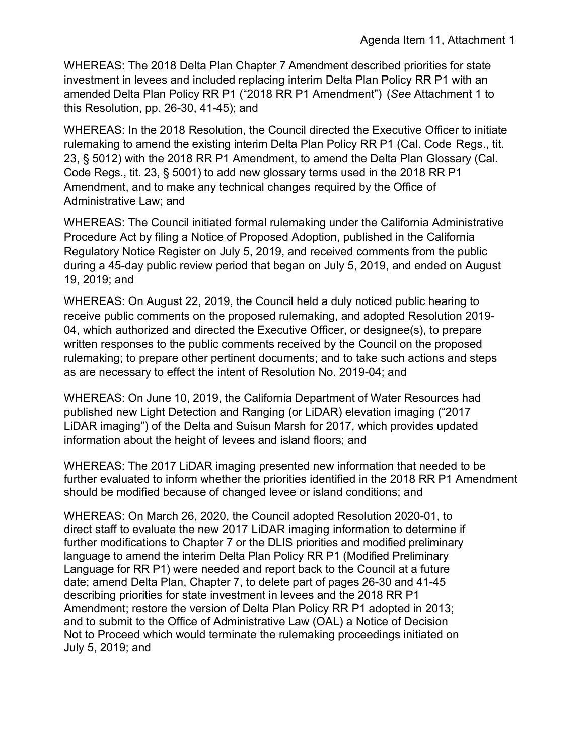WHEREAS: The 2018 Delta Plan Chapter 7 Amendment described priorities for state investment in levees and included replacing interim Delta Plan Policy RR P1 with an amended Delta Plan Policy RR P1 ("2018 RR P1 Amendment") (*See* Attachment 1 to this Resolution, pp. 26-30, 41-45); and

 WHEREAS: In the 2018 Resolution, the Council directed the Executive Officer to initiate rulemaking to amend the existing interim Delta Plan Policy RR P1 (Cal. Code Regs., tit. 23, § 5012) with the 2018 RR P1 Amendment, to amend the Delta Plan Glossary (Cal. Code Regs., tit. 23, § 5001) to add new glossary terms used in the 2018 RR P1 Amendment, and to make any technical changes required by the Office of Administrative Law; and

 WHEREAS: The Council initiated formal rulemaking under the California Administrative Procedure Act by filing a Notice of Proposed Adoption, published in the California Regulatory Notice Register on July 5, 2019, and received comments from the public during a 45-day public review period that began on July 5, 2019, and ended on August 19, 2019; and

 WHEREAS: On August 22, 2019, the Council held a duly noticed public hearing to receive public comments on the proposed rulemaking, and adopted Resolution 2019- 04, which authorized and directed the Executive Officer, or designee(s), to prepare written responses to the public comments received by the Council on the proposed rulemaking; to prepare other pertinent documents; and to take such actions and steps as are necessary to effect the intent of Resolution No. 2019-04; and

 WHEREAS: On June 10, 2019, the California Department of Water Resources had published new Light Detection and Ranging (or LiDAR) elevation imaging ("2017 LiDAR imaging") of the Delta and Suisun Marsh for 2017, which provides updated information about the height of levees and island floors; and

 WHEREAS: The 2017 LiDAR imaging presented new information that needed to be further evaluated to inform whether the priorities identified in the 2018 RR P1 Amendment should be modified because of changed levee or island conditions; and

 direct staff to evaluate the new 2017 LiDAR imaging information to determine if further modifications to Chapter 7 or the DLIS priorities and modified preliminary Language for RR P1) were needed and report back to the Council at a future date; amend Delta Plan, Chapter 7, to delete part of pages 26-30 and 41-45 describing priorities for state investment in levees and the 2018 RR P1 Amendment; restore the version of Delta Plan Policy RR P1 adopted in 2013; July 5, 2019; and WHEREAS: On March 26, 2020, the Council adopted Resolution 2020-01, to language to amend the interim Delta Plan Policy RR P1 (Modified Preliminary and to submit to the Office of Administrative Law (OAL) a Notice of Decision Not to Proceed which would terminate the rulemaking proceedings initiated on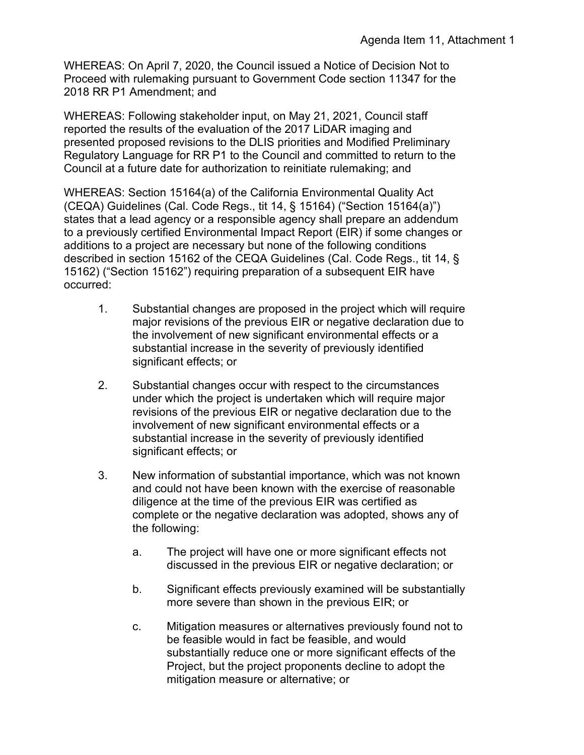WHEREAS: On April 7, 2020, the Council issued a Notice of Decision Not to Proceed with rulemaking pursuant to Government Code section 11347 for the 2018 RR P1 Amendment; and

WHEREAS: Following stakeholder input, on May 21, 2021, Council staff reported the results of the evaluation of the 2017 LiDAR imaging and presented proposed revisions to the DLIS priorities and Modified Preliminary Regulatory Language for RR P1 to the Council and committed to return to the Council at a future date for authorization to reinitiate rulemaking; and

 (CEQA) Guidelines (Cal. Code Regs., tit 14, § 15164) ("Section 15164(a)") WHEREAS: Section 15164(a) of the California Environmental Quality Act states that a lead agency or a responsible agency shall prepare an addendum to a previously certified Environmental Impact Report (EIR) if some changes or additions to a project are necessary but none of the following conditions described in section 15162 of the CEQA Guidelines (Cal. Code Regs., tit 14, § 15162) ("Section 15162") requiring preparation of a subsequent EIR have occurred:

- significant effects; or 1. Substantial changes are proposed in the project which will require major revisions of the previous EIR or negative declaration due to the involvement of new significant environmental effects or a substantial increase in the severity of previously identified
- revisions of the previous EIR or negative declaration due to the involvement of new significant environmental effects or a 2. Substantial changes occur with respect to the circumstances under which the project is undertaken which will require major substantial increase in the severity of previously identified significant effects; or
- diligence at the time of the previous EIR was certified as 3. New information of substantial importance, which was not known and could not have been known with the exercise of reasonable complete or the negative declaration was adopted, shows any of the following:
	- a. The project will have one or more significant effects not discussed in the previous EIR or negative declaration; or
	- more severe than shown in the previous EIR; or b. Significant effects previously examined will be substantially
	- c. Mitigation measures or alternatives previously found not to Project, but the project proponents decline to adopt the be feasible would in fact be feasible, and would substantially reduce one or more significant effects of the mitigation measure or alternative; or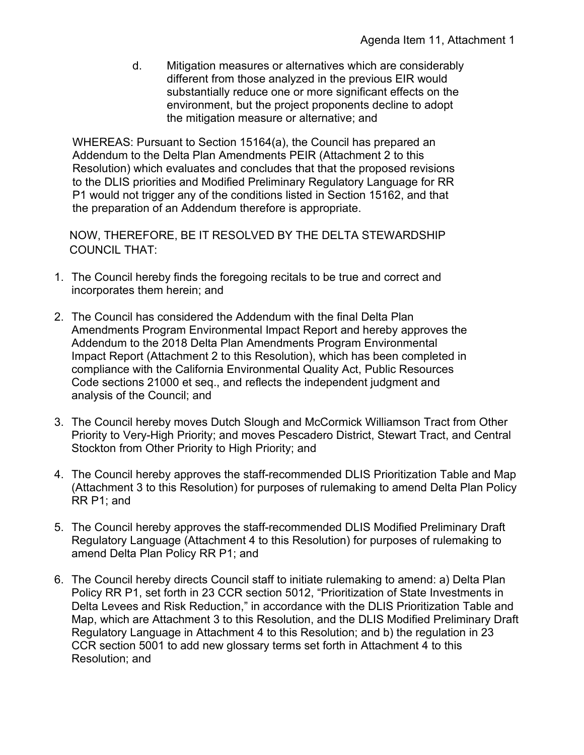d. Mitigation measures or alternatives which are considerably the mitigation measure or alternative; and different from those analyzed in the previous EIR would substantially reduce one or more significant effects on the environment, but the project proponents decline to adopt

 Addendum to the Delta Plan Amendments PEIR (Attachment 2 to this Resolution) which evaluates and concludes that that the proposed revisions P1 would not trigger any of the conditions listed in Section 15162, and that WHEREAS: Pursuant to Section 15164(a), the Council has prepared an to the DLIS priorities and Modified Preliminary Regulatory Language for RR the preparation of an Addendum therefore is appropriate.

 NOW, THEREFORE, BE IT RESOLVED BY THE DELTA STEWARDSHIP COUNCIL THAT:

- 1. The Council hereby finds the foregoing recitals to be true and correct and incorporates them herein; and
- 2. The Council has considered the Addendum with the final Delta Plan Amendments Program Environmental Impact Report and hereby approves the Addendum to the 2018 Delta Plan Amendments Program Environmental Impact Report (Attachment 2 to this Resolution), which has been completed in compliance with the California Environmental Quality Act, Public Resources Code sections 21000 et seq., and reflects the independent judgment and analysis of the Council; and
- 3. The Council hereby moves Dutch Slough and McCormick Williamson Tract from Other Priority to Very-High Priority; and moves Pescadero District, Stewart Tract, and Central Stockton from Other Priority to High Priority; and
- (Attachment 3 to this Resolution) for purposes of rulemaking to amend Delta Plan Policy 4. The Council hereby approves the staff-recommended DLIS Prioritization Table and Map RR P1; and
- Regulatory Language (Attachment 4 to this Resolution) for purposes of rulemaking to 5. The Council hereby approves the staff-recommended DLIS Modified Preliminary Draft amend Delta Plan Policy RR P1; and
- Regulatory Language in Attachment 4 to this Resolution; and b) the regulation in 23 Resolution; and 6. The Council hereby directs Council staff to initiate rulemaking to amend: a) Delta Plan Policy RR P1, set forth in 23 CCR section 5012, "Prioritization of State Investments in Delta Levees and Risk Reduction," in accordance with the DLIS Prioritization Table and Map, which are Attachment 3 to this Resolution, and the DLIS Modified Preliminary Draft CCR section 5001 to add new glossary terms set forth in Attachment 4 to this